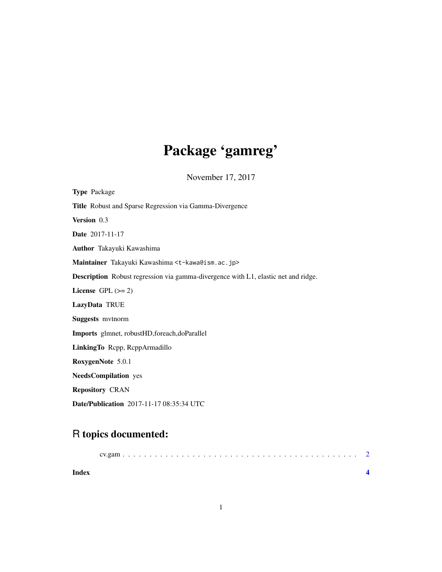## Package 'gamreg'

November 17, 2017

| <b>Type Package</b>                                                                       |
|-------------------------------------------------------------------------------------------|
| Title Robust and Sparse Regression via Gamma-Divergence                                   |
| Version 0.3                                                                               |
| Date 2017-11-17                                                                           |
| Author Takayuki Kawashima                                                                 |
| Maintainer Takayuki Kawashima <t-kawa@ism.ac.jp></t-kawa@ism.ac.jp>                       |
| <b>Description</b> Robust regression via gamma-divergence with L1, elastic net and ridge. |
| License GPL $(>= 2)$                                                                      |
| LazyData TRUE                                                                             |
| <b>Suggests</b> mythorm                                                                   |
| Imports glmnet, robustHD, foreach, doParallel                                             |
| LinkingTo Repp, ReppArmadillo                                                             |
| RoxygenNote 5.0.1                                                                         |
| <b>NeedsCompilation</b> yes                                                               |
| <b>Repository CRAN</b>                                                                    |
| <b>Date/Publication</b> 2017-11-17 08:35:34 UTC                                           |

### R topics documented:

| Index |  |
|-------|--|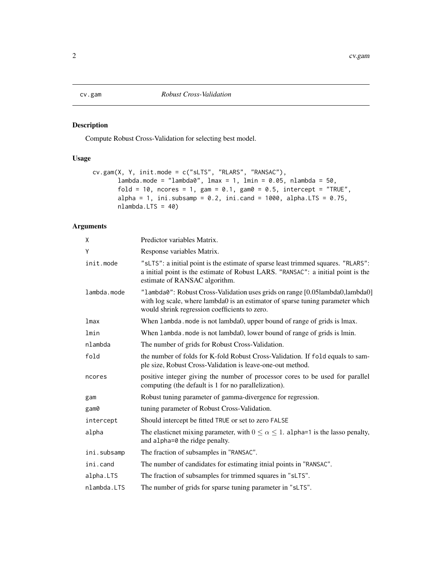<span id="page-1-0"></span>

#### Description

Compute Robust Cross-Validation for selecting best model.

#### Usage

```
cv.gam(X, Y, init.mode = c("sLTS", "RLARS", "RANSAC"),
       lambda.mode = "lambda0", lmax = 1, lmin = 0.05, nlambda = 50,
       fold = 10, ncores = 1, gam = 0.1, gam0 = 0.5, intercept = "TRUE",
       alpha = 1, ini.subsamp = 0.2, ini.cand = 1000, alpha.LTS = 0.75,
       nlambda.LTS = 40)
```
#### Arguments

| χ           | Predictor variables Matrix.                                                                                                                                                                                     |
|-------------|-----------------------------------------------------------------------------------------------------------------------------------------------------------------------------------------------------------------|
| Υ           | Response variables Matrix.                                                                                                                                                                                      |
| init.mode   | "sLTS": a initial point is the estimate of sparse least trimmed squares. "RLARS":<br>a initial point is the estimate of Robust LARS. "RANSAC": a initial point is the<br>estimate of RANSAC algorithm.          |
| lambda.mode | "lambda0": Robust Cross-Validation uses grids on range [0.05lambda0,lambda0]<br>with log scale, where lambda0 is an estimator of sparse tuning parameter which<br>would shrink regression coefficients to zero. |
| lmax        | When lambda. mode is not lambda0, upper bound of range of grids is lmax.                                                                                                                                        |
| lmin        | When lambda. mode is not lambda0, lower bound of range of grids is lmin.                                                                                                                                        |
| nlambda     | The number of grids for Robust Cross-Validation.                                                                                                                                                                |
| fold        | the number of folds for K-fold Robust Cross-Validation. If fold equals to sam-<br>ple size, Robust Cross-Validation is leave-one-out method.                                                                    |
| ncores      | positive integer giving the number of processor cores to be used for parallel<br>computing (the default is 1 for no parallelization).                                                                           |
| gam         | Robust tuning parameter of gamma-divergence for regression.                                                                                                                                                     |
| gam0        | tuning parameter of Robust Cross-Validation.                                                                                                                                                                    |
| intercept   | Should intercept be fitted TRUE or set to zero FALSE                                                                                                                                                            |
| alpha       | The elasticnet mixing parameter, with $0 \le \alpha \le 1$ . alpha=1 is the lasso penalty,<br>and alpha=0 the ridge penalty.                                                                                    |
| ini.subsamp | The fraction of subsamples in "RANSAC".                                                                                                                                                                         |
| ini.cand    | The number of candidates for estimating itnial points in "RANSAC".                                                                                                                                              |
| alpha.LTS   | The fraction of subsamples for trimmed squares in "sLTS".                                                                                                                                                       |
| nlambda.LTS | The number of grids for sparse tuning parameter in "sLTS".                                                                                                                                                      |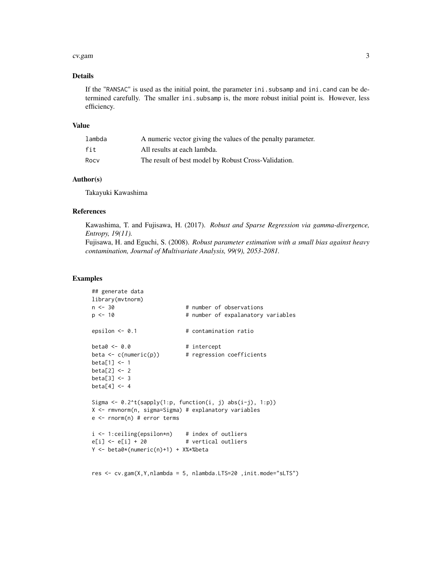#### cv.gam 3

#### Details

If the "RANSAC" is used as the initial point, the parameter ini.subsamp and ini.cand can be determined carefully. The smaller ini.subsamp is, the more robust initial point is. However, less efficiency.

#### Value

| lambda | A numeric vector giving the values of the penalty parameter. |
|--------|--------------------------------------------------------------|
| fit    | All results at each lambda.                                  |
| Rocy   | The result of best model by Robust Cross-Validation.         |

#### Author(s)

Takayuki Kawashima

#### References

Kawashima, T. and Fujisawa, H. (2017). *Robust and Sparse Regression via gamma-divergence, Entropy, 19(11).*

Fujisawa, H. and Eguchi, S. (2008). *Robust parameter estimation with a small bias against heavy contamination, Journal of Multivariate Analysis, 99(9), 2053-2081.*

#### Examples

```
## generate data
library(mvtnorm)
n <- 30 + number of observations
p <- 10 + number of expalanatory variables
epsilon <- 0.1 # contamination ratio
beta < -0.0 # intercept
beta <- c(numeric(p)) # regression coefficients
beta[1] <- 1
beta[2] <- 2
beta[3] <- 3
beta[4] <- 4
Sigma \leq 0.2^t(\text{supply}(1:p, function(i, j) abs(i-j), 1:p))X <- rmvnorm(n, sigma=Sigma) # explanatory variables
e <- rnorm(n) # error terms
i <- 1:ceiling(epsilon*n) # index of outliers
e[i] \leftarrow e[i] + 20 # vertical outliers
Y <- beta0*(numeric(n)+1) + X%*%beta
res <- cv.gam(X,Y,nlambda = 5, nlambda.LTS=20 ,init.mode="sLTS")
```